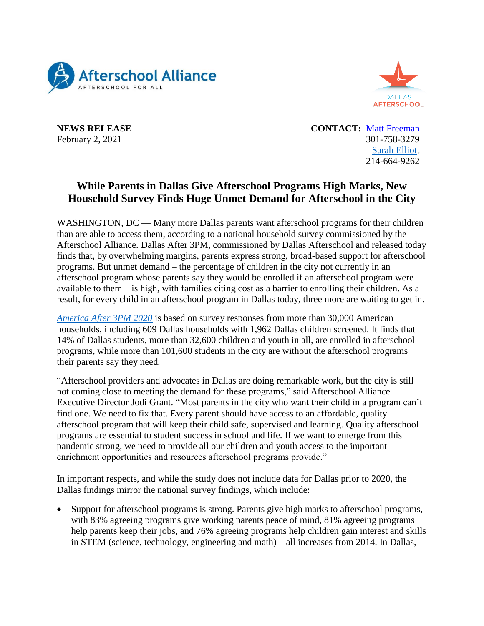



**NEWS RELEASE CONTACT:** [Matt Freeman](mailto:matt@prsolutionsdc.com) February 2, 2021 301-758-3279 [Sarah Elliott](mailto:selliott@dallasafterschool.org) 214-664-9262

## **While Parents in Dallas Give Afterschool Programs High Marks, New Household Survey Finds Huge Unmet Demand for Afterschool in the City**

WASHINGTON, DC — Many more Dallas parents want afterschool programs for their children than are able to access them, according to a national household survey commissioned by the Afterschool Alliance. Dallas After 3PM, commissioned by Dallas Afterschool and released today finds that, by overwhelming margins, parents express strong, broad-based support for afterschool programs. But unmet demand – the percentage of children in the city not currently in an afterschool program whose parents say they would be enrolled if an afterschool program were available to them – is high, with families citing cost as a barrier to enrolling their children. As a result, for every child in an afterschool program in Dallas today, three more are waiting to get in.

*[America After 3PM 2020](http://www.afterschoolalliance.org/aa3pm/)* is based on survey responses from more than 30,000 American households, including 609 Dallas households with 1,962 Dallas children screened. It finds that 14% of Dallas students, more than 32,600 children and youth in all, are enrolled in afterschool programs, while more than 101,600 students in the city are without the afterschool programs their parents say they need*.*

"Afterschool providers and advocates in Dallas are doing remarkable work, but the city is still not coming close to meeting the demand for these programs," said Afterschool Alliance Executive Director Jodi Grant. "Most parents in the city who want their child in a program can't find one. We need to fix that. Every parent should have access to an affordable, quality afterschool program that will keep their child safe, supervised and learning. Quality afterschool programs are essential to student success in school and life. If we want to emerge from this pandemic strong, we need to provide all our children and youth access to the important enrichment opportunities and resources afterschool programs provide."

In important respects, and while the study does not include data for Dallas prior to 2020, the Dallas findings mirror the national survey findings, which include:

 Support for afterschool programs is strong. Parents give high marks to afterschool programs, with 83% agreeing programs give working parents peace of mind, 81% agreeing programs help parents keep their jobs, and 76% agreeing programs help children gain interest and skills in STEM (science, technology, engineering and math) – all increases from 2014. In Dallas,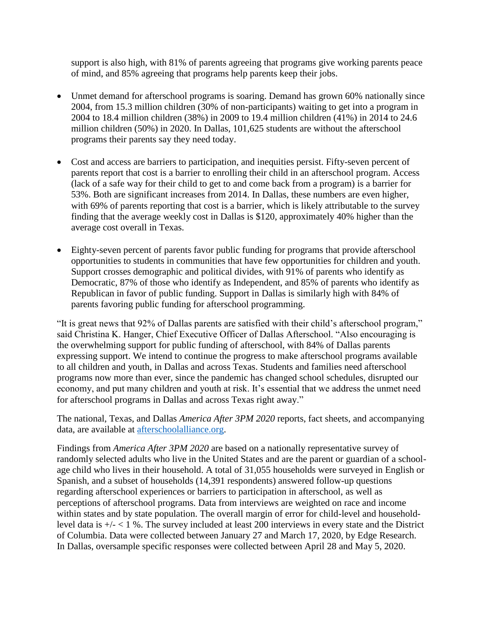support is also high, with 81% of parents agreeing that programs give working parents peace of mind, and 85% agreeing that programs help parents keep their jobs.

- Unmet demand for afterschool programs is soaring. Demand has grown 60% nationally since 2004, from 15.3 million children (30% of non-participants) waiting to get into a program in 2004 to 18.4 million children (38%) in 2009 to 19.4 million children (41%) in 2014 to 24.6 million children (50%) in 2020. In Dallas, 101,625 students are without the afterschool programs their parents say they need today.
- Cost and access are barriers to participation, and inequities persist. Fifty-seven percent of parents report that cost is a barrier to enrolling their child in an afterschool program. Access (lack of a safe way for their child to get to and come back from a program) is a barrier for 53%. Both are significant increases from 2014. In Dallas, these numbers are even higher, with 69% of parents reporting that cost is a barrier, which is likely attributable to the survey finding that the average weekly cost in Dallas is \$120, approximately 40% higher than the average cost overall in Texas.
- Eighty-seven percent of parents favor public funding for programs that provide afterschool opportunities to students in communities that have few opportunities for children and youth. Support crosses demographic and political divides, with 91% of parents who identify as Democratic, 87% of those who identify as Independent, and 85% of parents who identify as Republican in favor of public funding. Support in Dallas is similarly high with 84% of parents favoring public funding for afterschool programming.

"It is great news that 92% of Dallas parents are satisfied with their child's afterschool program," said Christina K. Hanger, Chief Executive Officer of Dallas Afterschool. "Also encouraging is the overwhelming support for public funding of afterschool, with 84% of Dallas parents expressing support. We intend to continue the progress to make afterschool programs available to all children and youth, in Dallas and across Texas. Students and families need afterschool programs now more than ever, since the pandemic has changed school schedules, disrupted our economy, and put many children and youth at risk. It's essential that we address the unmet need for afterschool programs in Dallas and across Texas right away."

The national, Texas, and Dallas *America After 3PM 2020* reports, fact sheets, and accompanying data, are available at [afterschoolalliance.org.](http://afterschoolalliance.org/)

Findings from *America After 3PM 2020* are based on a nationally representative survey of randomly selected adults who live in the United States and are the parent or guardian of a schoolage child who lives in their household. A total of 31,055 households were surveyed in English or Spanish, and a subset of households (14,391 respondents) answered follow-up questions regarding afterschool experiences or barriers to participation in afterschool, as well as perceptions of afterschool programs. Data from interviews are weighted on race and income within states and by state population. The overall margin of error for child-level and householdlevel data is +/- < 1 %. The survey included at least 200 interviews in every state and the District of Columbia. Data were collected between January 27 and March 17, 2020, by Edge Research. In Dallas, oversample specific responses were collected between April 28 and May 5, 2020.